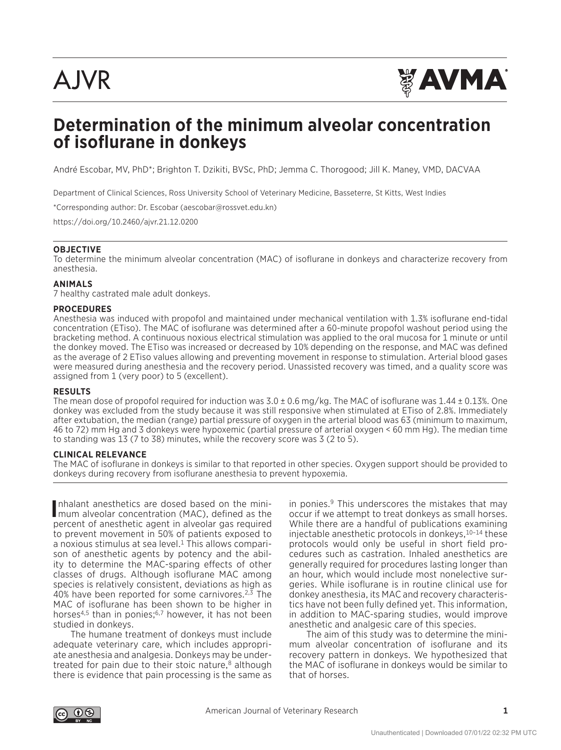

# **Determination of the minimum alveolar concentration of isoflurane in donkeys**

André Escobar, MV, PhD\*; Brighton T. Dzikiti, BVSc, PhD; Jemma C. Thorogood; Jill K. Maney, VMD, DACVAA

Department of Clinical Sciences, Ross University School of Veterinary Medicine, Basseterre, St Kitts, West Indies

\*Corresponding author: Dr. Escobar (aescobar@rossvet.edu.kn)

https://doi.org/10.2460/ajvr.21.12.0200

#### **OBJECTIVE**

To determine the minimum alveolar concentration (MAC) of isoflurane in donkeys and characterize recovery from anesthesia.

### **ANIMALS**

7 healthy castrated male adult donkeys.

#### **PROCEDURES**

Anesthesia was induced with propofol and maintained under mechanical ventilation with 1.3% isoflurane end-tidal concentration (ETiso). The MAC of isoflurane was determined after a 60-minute propofol washout period using the bracketing method. A continuous noxious electrical stimulation was applied to the oral mucosa for 1 minute or until the donkey moved. The ETiso was increased or decreased by 10% depending on the response, and MAC was defined as the average of 2 ETiso values allowing and preventing movement in response to stimulation. Arterial blood gases were measured during anesthesia and the recovery period. Unassisted recovery was timed, and a quality score was assigned from 1 (very poor) to 5 (excellent).

#### **RESULTS**

The mean dose of propofol required for induction was  $3.0 \pm 0.6$  mg/kg. The MAC of isoflurane was  $1.44 \pm 0.13$ %. One donkey was excluded from the study because it was still responsive when stimulated at ETiso of 2.8%. Immediately after extubation, the median (range) partial pressure of oxygen in the arterial blood was 63 (minimum to maximum, 46 to 72) mm Hg and 3 donkeys were hypoxemic (partial pressure of arterial oxygen < 60 mm Hg). The median time to standing was 13 (7 to 38) minutes, while the recovery score was 3 (2 to 5).

#### **CLINICAL RELEVANCE**

The MAC of isoflurane in donkeys is similar to that reported in other species. Oxygen support should be provided to donkeys during recovery from isoflurane anesthesia to prevent hypoxemia.

Inhalant anesthetics are dosed based on the mini-<br>Imum alveolar concentration (MAC), defined as the nhalant anesthetics are dosed based on the minipercent of anesthetic agent in alveolar gas required to prevent movement in 50% of patients exposed to a noxious stimulus at sea level.1 This allows comparison of anesthetic agents by potency and the ability to determine the MAC-sparing effects of other classes of drugs. Although isoflurane MAC among species is relatively consistent, deviations as high as 40% have been reported for some carnivores. $2,3$  The MAC of isoflurane has been shown to be higher in horses<sup>4,5</sup> than in ponies;<sup>6,7</sup> however, it has not been studied in donkeys.

The humane treatment of donkeys must include adequate veterinary care, which includes appropriate anesthesia and analgesia. Donkeys may be undertreated for pain due to their stoic nature, $8$  although there is evidence that pain processing is the same as

in ponies.<sup>9</sup> This underscores the mistakes that may occur if we attempt to treat donkeys as small horses. While there are a handful of publications examining injectable anesthetic protocols in donkeys,  $10-14$  these protocols would only be useful in short field procedures such as castration. Inhaled anesthetics are generally required for procedures lasting longer than an hour, which would include most nonelective surgeries. While isoflurane is in routine clinical use for donkey anesthesia, its MAC and recovery characteristics have not been fully defined yet. This information, in addition to MAC-sparing studies, would improve anesthetic and analgesic care of this species.

The aim of this study was to determine the minimum alveolar concentration of isoflurane and its recovery pattern in donkeys. We hypothesized that the MAC of isoflurane in donkeys would be similar to that of horses.

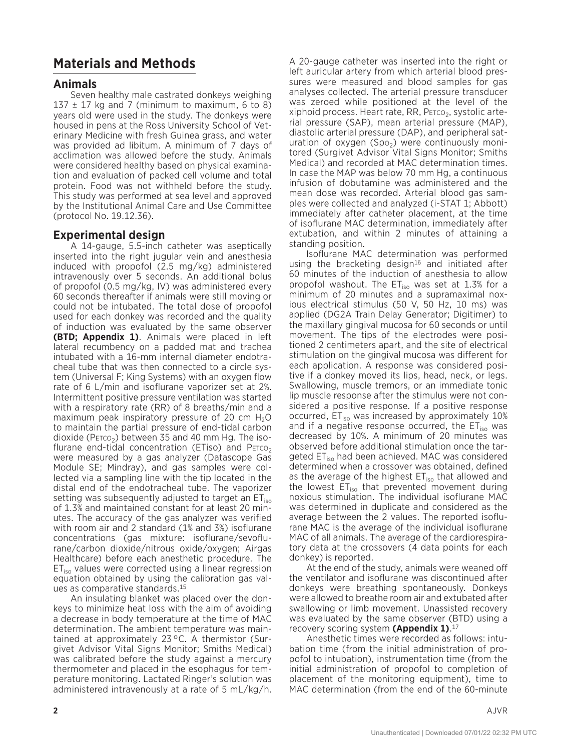## **Materials and Methods**

### **Animals**

Seven healthy male castrated donkeys weighing 137  $\pm$  17 kg and 7 (minimum to maximum, 6 to 8) years old were used in the study. The donkeys were housed in pens at the Ross University School of Veterinary Medicine with fresh Guinea grass, and water was provided ad libitum. A minimum of 7 days of acclimation was allowed before the study. Animals were considered healthy based on physical examination and evaluation of packed cell volume and total protein. Food was not withheld before the study. This study was performed at sea level and approved by the Institutional Animal Care and Use Committee (protocol No. 19.12.36).

### **Experimental design**

A 14-gauge, 5.5-inch catheter was aseptically inserted into the right jugular vein and anesthesia induced with propofol (2.5 mg/kg) administered intravenously over 5 seconds. An additional bolus of propofol (0.5 mg/kg, IV) was administered every 60 seconds thereafter if animals were still moving or could not be intubated. The total dose of propofol used for each donkey was recorded and the quality of induction was evaluated by the same observer **(BTD; Appendix 1)**. Animals were placed in left lateral recumbency on a padded mat and trachea intubated with a 16-mm internal diameter endotracheal tube that was then connected to a circle system (Universal F; King Systems) with an oxygen flow rate of 6 L/min and isoflurane vaporizer set at 2%. Intermittent positive pressure ventilation was started with a respiratory rate (RR) of 8 breaths/min and a maximum peak inspiratory pressure of 20 cm  $H_2O$ to maintain the partial pressure of end-tidal carbon dioxide (P $E_1$ rco<sub>2</sub>) between 35 and 40 mm Hg. The isoflurane end-tidal concentration (ETiso) and  $PETCO<sub>2</sub>$ were measured by a gas analyzer (Datascope Gas Module SE; Mindray), and gas samples were collected via a sampling line with the tip located in the distal end of the endotracheal tube. The vaporizer setting was subsequently adjusted to target an  $ET_{iso}$ of 1.3% and maintained constant for at least 20 minutes. The accuracy of the gas analyzer was verified with room air and 2 standard (1% and 3%) isoflurane concentrations (gas mixture: isoflurane/sevoflurane/carbon dioxide/nitrous oxide/oxygen; Airgas Healthcare) before each anesthetic procedure. The  $ET<sub>iso</sub>$  values were corrected using a linear regression equation obtained by using the calibration gas values as comparative standards.15

An insulating blanket was placed over the donkeys to minimize heat loss with the aim of avoiding a decrease in body temperature at the time of MAC determination. The ambient temperature was maintained at approximately 23°C. A thermistor (Surgivet Advisor Vital Signs Monitor; Smiths Medical) was calibrated before the study against a mercury thermometer and placed in the esophagus for temperature monitoring. Lactated Ringer's solution was administered intravenously at a rate of 5 mL/kg/h.

A 20-gauge catheter was inserted into the right or left auricular artery from which arterial blood pressures were measured and blood samples for gas analyses collected. The arterial pressure transducer was zeroed while positioned at the level of the  $x$ iphoid process. Heart rate, RR, P $E_{\text{FCO}_2}$ , systolic arterial pressure (SAP), mean arterial pressure (MAP), diastolic arterial pressure (DAP), and peripheral saturation of oxygen (Spo<sub>2</sub>) were continuously monitored (Surgivet Advisor Vital Signs Monitor; Smiths Medical) and recorded at MAC determination times. In case the MAP was below 70 mm Hg, a continuous infusion of dobutamine was administered and the mean dose was recorded. Arterial blood gas samples were collected and analyzed (i-STAT 1; Abbott) immediately after catheter placement, at the time of isoflurane MAC determination, immediately after extubation, and within 2 minutes of attaining a standing position.

Isoflurane MAC determination was performed using the bracketing design<sup>16</sup> and initiated after 60 minutes of the induction of anesthesia to allow propofol washout. The  $ET_{iso}$  was set at 1.3% for a minimum of 20 minutes and a supramaximal noxious electrical stimulus (50 V, 50 Hz, 10 ms) was applied (DG2A Train Delay Generator; Digitimer) to the maxillary gingival mucosa for 60 seconds or until movement. The tips of the electrodes were positioned 2 centimeters apart, and the site of electrical stimulation on the gingival mucosa was different for each application. A response was considered positive if a donkey moved its lips, head, neck, or legs. Swallowing, muscle tremors, or an immediate tonic lip muscle response after the stimulus were not considered a positive response. If a positive response occurred,  $ET_{iso}$  was increased by approximately 10% and if a negative response occurred, the  $ET_{iso}$  was decreased by 10%. A minimum of 20 minutes was observed before additional stimulation once the targeted ET<sub>iso</sub> had been achieved. MAC was considered determined when a crossover was obtained, defined as the average of the highest ET<sub>iso</sub> that allowed and the lowest  $ET_{iso}$  that prevented movement during noxious stimulation. The individual isoflurane MAC was determined in duplicate and considered as the average between the 2 values. The reported isoflurane MAC is the average of the individual isoflurane MAC of all animals. The average of the cardiorespiratory data at the crossovers (4 data points for each donkey) is reported.

At the end of the study, animals were weaned off the ventilator and isoflurane was discontinued after donkeys were breathing spontaneously. Donkeys were allowed to breathe room air and extubated after swallowing or limb movement. Unassisted recovery was evaluated by the same observer (BTD) using a recovery scoring system **(Appendix 1)**. 17

Anesthetic times were recorded as follows: intubation time (from the initial administration of propofol to intubation), instrumentation time (from the initial administration of propofol to completion of placement of the monitoring equipment), time to MAC determination (from the end of the 60-minute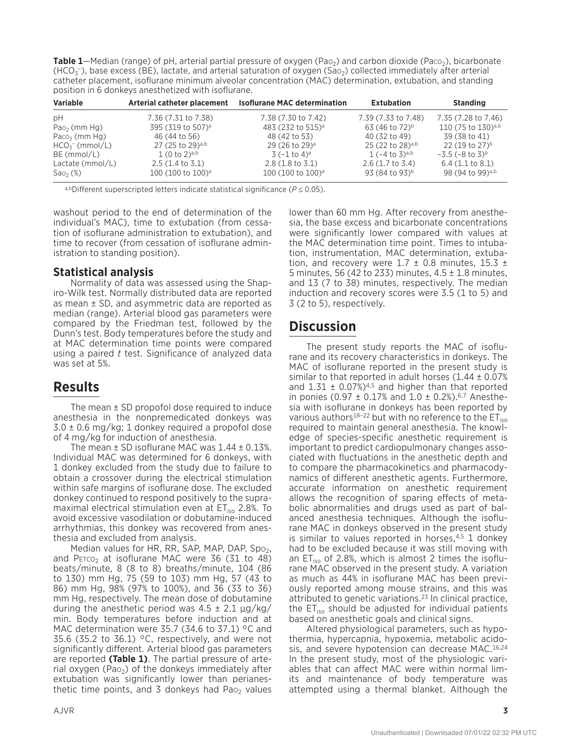**Table 1**—Median (range) of pH, arterial partial pressure of oxygen (Pao<sub>2</sub>) and carbon dioxide (Paco<sub>2</sub>), bicarbonate  $(HCO<sub>3</sub>^-)$ , base excess (BE), lactate, and arterial saturation of oxygen (Sao<sub>2</sub>) collected immediately after arterial catheter placement, isoflurane minimum alveolar concentration (MAC) determination, extubation, and standing position in 6 donkeys anesthetized with isoflurane.

| <b>Variable</b>           | Arterial catheter placement   | <b>Isoflurane MAC determination</b> | <b>Extubation</b>            | <b>Standing</b>                     |
|---------------------------|-------------------------------|-------------------------------------|------------------------------|-------------------------------------|
| рH                        | 7.36 (7.31 to 7.38)           | 7.38 (7.30 to 7.42)                 | 7.39 (7.33 to 7.48)          | 7.35 (7.28 to 7.46)                 |
| Pao <sub>2</sub> (mm Hg)  | 395 (319 to 507) <sup>a</sup> | 483 (232 to 515) <sup>a</sup>       | 63 (46 to 72) <sup>b</sup>   | 110 (75 to 130)a,b                  |
| Paco <sub>2</sub> (mm Hg) | 46 (44 to 56)                 | 48 (42 to 53)                       | 40 (32 to 49)                | 39 (38 to 41)                       |
| $HCO5$ (mmol/L)           | 27 (25 to 29) <sup>a,b</sup>  | 29 (26 to 29) <sup>a</sup>          | 25 (22 to 28) <sup>a,b</sup> | 22 (19 to 27) <sup>b</sup>          |
| $BE$ (mmol/L)             | 1(0 to 2) <sup>a,b</sup>      | $3(-1 to 4)^a$                      | $1(-4 \text{ to } 3)^{a,b}$  | $-3.5$ ( $-8$ to $3$ ) <sup>b</sup> |
| Lactate (mmol/L)          | $2.5(1.4 \text{ to } 3.1)$    | $2.8(1.8 \text{ to } 3.1)$          | $2.6$ (1.7 to 3.4)           | $6.4$ (1.1 to 8.1)                  |
| Sao <sub>2</sub> (%)      | 100 (100 to 100) <sup>a</sup> | 100 (100 to 100) <sup>a</sup>       | 93 (84 to 93)b               | 98 (94 to 99) <sup>a,b</sup>        |

a,bDifferent superscripted letters indicate statistical significance (*P* ≤ 0.05).

washout period to the end of determination of the individual's MAC), time to extubation (from cessation of isoflurane administration to extubation), and time to recover (from cessation of isoflurane administration to standing position).

### **Statistical analysis**

Normality of data was assessed using the Shapiro-Wilk test. Normally distributed data are reported as mean ± SD, and asymmetric data are reported as median (range). Arterial blood gas parameters were compared by the Friedman test, followed by the Dunn's test. Body temperatures before the study and at MAC determination time points were compared using a paired *t* test. Significance of analyzed data was set at 5%.

## **Results**

The mean ± SD propofol dose required to induce anesthesia in the nonpremedicated donkeys was  $3.0 \pm 0.6$  mg/kg; 1 donkey required a propofol dose of 4 mg/kg for induction of anesthesia.

The mean  $\pm$  SD isoflurane MAC was  $1.44 \pm 0.13$ %. Individual MAC was determined for 6 donkeys, with 1 donkey excluded from the study due to failure to obtain a crossover during the electrical stimulation within safe margins of isoflurane dose. The excluded donkey continued to respond positively to the supramaximal electrical stimulation even at  $ET_{iso}$  2.8%. To avoid excessive vasodilation or dobutamine-induced arrhythmias, this donkey was recovered from anesthesia and excluded from analysis.

Median values for HR, RR, SAP, MAP, DAP, Spo $_2$ , and PETCO<sub>2</sub> at isoflurane MAC were 36 (31 to 48) beats/minute, 8 (8 to 8) breaths/minute, 104 (86 to 130) mm Hg, 75 (59 to 103) mm Hg, 57 (43 to 86) mm Hg, 98% (97% to 100%), and 36 (33 to 36) mm Hg, respectively. The mean dose of dobutamine during the anesthetic period was  $4.5 \pm 2.1 \mu g/kg$ min. Body temperatures before induction and at MAC determination were 35.7 (34.6 to 37.1) °C and 35.6 (35.2 to 36.1) °C, respectively, and were not significantly different. Arterial blood gas parameters are reported **(Table 1)**. The partial pressure of arterial oxygen (Pao<sub>2</sub>) of the donkeys immediately after extubation was significantly lower than perianesthetic time points, and 3 donkeys had Pao<sub>2</sub> values

lower than 60 mm Hg. After recovery from anesthesia, the base excess and bicarbonate concentrations were significantly lower compared with values at the MAC determination time point. Times to intubation, instrumentation, MAC determination, extubation, and recovery were  $1.7 \pm 0.8$  minutes,  $15.3 \pm 1.5$ 5 minutes, 56 (42 to 233) minutes,  $4.5 \pm 1.8$  minutes, and 13 (7 to 38) minutes, respectively. The median induction and recovery scores were 3.5 (1 to 5) and 3 (2 to 5), respectively.

### **Discussion**

The present study reports the MAC of isoflurane and its recovery characteristics in donkeys. The MAC of isoflurane reported in the present study is similar to that reported in adult horses  $(1.44 \pm 0.07\%)$ and  $1.31 \pm 0.07\%/4.5}$  and higher than that reported in ponies (0.97  $\pm$  0.17% and 1.0  $\pm$  0.2%).<sup>6,7</sup> Anesthesia with isoflurane in donkeys has been reported by various authors<sup>18-22</sup> but with no reference to the  $ET_{iso}$ required to maintain general anesthesia. The knowledge of species-specific anesthetic requirement is important to predict cardiopulmonary changes associated with fluctuations in the anesthetic depth and to compare the pharmacokinetics and pharmacodynamics of different anesthetic agents. Furthermore, accurate information on anesthetic requirement allows the recognition of sparing effects of metabolic abnormalities and drugs used as part of balanced anesthesia techniques. Although the isoflurane MAC in donkeys observed in the present study is similar to values reported in horses, $4,5$  1 donkey had to be excluded because it was still moving with an  $ET_{iso}$  of 2.8%, which is almost 2 times the isoflurane MAC observed in the present study. A variation as much as 44% in isoflurane MAC has been previously reported among mouse strains, and this was attributed to genetic variations.23 In clinical practice, the  $ET_{iso}$  should be adjusted for individual patients based on anesthetic goals and clinical signs.

Altered physiological parameters, such as hypothermia, hypercapnia, hypoxemia, metabolic acidosis, and severe hypotension can decrease MAC.16,24 In the present study, most of the physiologic variables that can affect MAC were within normal limits and maintenance of body temperature was attempted using a thermal blanket. Although the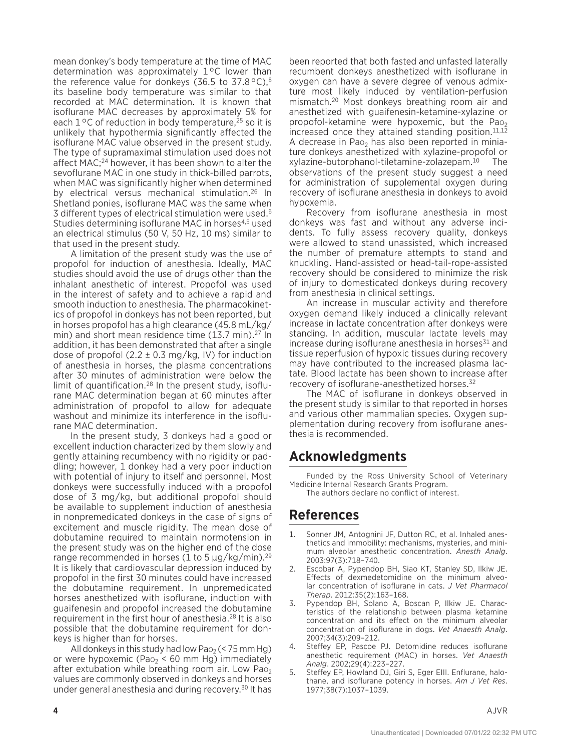mean donkey's body temperature at the time of MAC determination was approximately 1°C lower than the reference value for donkeys (36.5 to 37.8 °C),<sup>8</sup> its baseline body temperature was similar to that recorded at MAC determination. It is known that isoflurane MAC decreases by approximately 5% for each  $1^{\circ}$ C of reduction in body temperature,  $2^{\circ}$  so it is unlikely that hypothermia significantly affected the isoflurane MAC value observed in the present study. The type of supramaximal stimulation used does not affect MAC;24 however, it has been shown to alter the sevoflurane MAC in one study in thick-billed parrots, when MAC was significantly higher when determined by electrical versus mechanical stimulation.26 In Shetland ponies, isoflurane MAC was the same when 3 different types of electrical stimulation were used.<sup>6</sup> Studies determining isoflurane MAC in horses<sup>4,5</sup> used an electrical stimulus (50 V, 50 Hz, 10 ms) similar to that used in the present study.

A limitation of the present study was the use of propofol for induction of anesthesia. Ideally, MAC studies should avoid the use of drugs other than the inhalant anesthetic of interest. Propofol was used in the interest of safety and to achieve a rapid and smooth induction to anesthesia. The pharmacokinetics of propofol in donkeys has not been reported, but in horses propofol has a high clearance (45.8 mL/kg/ min) and short mean residence time (13.7 min).27 In addition, it has been demonstrated that after a single dose of propofol (2.2  $\pm$  0.3 mg/kg, IV) for induction of anesthesia in horses, the plasma concentrations after 30 minutes of administration were below the limit of quantification.28 In the present study, isoflurane MAC determination began at 60 minutes after administration of propofol to allow for adequate washout and minimize its interference in the isoflurane MAC determination.

In the present study, 3 donkeys had a good or excellent induction characterized by them slowly and gently attaining recumbency with no rigidity or paddling; however, 1 donkey had a very poor induction with potential of injury to itself and personnel. Most donkeys were successfully induced with a propofol dose of 3 mg/kg, but additional propofol should be available to supplement induction of anesthesia in nonpremedicated donkeys in the case of signs of excitement and muscle rigidity. The mean dose of dobutamine required to maintain normotension in the present study was on the higher end of the dose range recommended in horses (1 to 5  $\mu$ g/kg/min).<sup>29</sup> It is likely that cardiovascular depression induced by propofol in the first 30 minutes could have increased the dobutamine requirement. In unpremedicated horses anesthetized with isoflurane, induction with guaifenesin and propofol increased the dobutamine requirement in the first hour of anesthesia.28 It is also possible that the dobutamine requirement for donkeys is higher than for horses.

All donkeys in this study had low Pa $o_2$  (< 75 mm Hg) or were hypoxemic (Pao<sub>2</sub> < 60 mm Hg) immediately after extubation while breathing room air. Low Pao<sub>2</sub> values are commonly observed in donkeys and horses under general anesthesia and during recovery.30 It has

been reported that both fasted and unfasted laterally recumbent donkeys anesthetized with isoflurane in oxygen can have a severe degree of venous admixture most likely induced by ventilation-perfusion mismatch.20 Most donkeys breathing room air and anesthetized with guaifenesin-ketamine-xylazine or propofol-ketamine were hypoxemic, but the Pao<sub>2</sub> increased once they attained standing position.<sup>11,12</sup> A decrease in Pao<sub>2</sub> has also been reported in miniature donkeys anesthetized with xylazine-propofol or xylazine-butorphanol-tiletamine-zolazepam.10 The observations of the present study suggest a need for administration of supplemental oxygen during recovery of isoflurane anesthesia in donkeys to avoid hypoxemia.

Recovery from isoflurane anesthesia in most donkeys was fast and without any adverse incidents. To fully assess recovery quality, donkeys were allowed to stand unassisted, which increased the number of premature attempts to stand and knuckling. Hand-assisted or head-tail-rope-assisted recovery should be considered to minimize the risk of injury to domesticated donkeys during recovery from anesthesia in clinical settings.

An increase in muscular activity and therefore oxygen demand likely induced a clinically relevant increase in lactate concentration after donkeys were standing. In addition, muscular lactate levels may increase during isoflurane anesthesia in horses $31$  and tissue reperfusion of hypoxic tissues during recovery may have contributed to the increased plasma lactate. Blood lactate has been shown to increase after recovery of isoflurane-anesthetized horses.<sup>32</sup>

The MAC of isoflurane in donkeys observed in the present study is similar to that reported in horses and various other mammalian species. Oxygen supplementation during recovery from isoflurane anesthesia is recommended.

## **Acknowledgments**

Funded by the Ross University School of Veterinary Medicine Internal Research Grants Program. The authors declare no conflict of interest.

## **References**

- 1. Sonner JM, Antognini JF, Dutton RC, et al. Inhaled anesthetics and immobility: mechanisms, mysteries, and minimum alveolar anesthetic concentration. *Anesth Analg*. 2003:97(3):718–740.
- 2. Escobar A, Pypendop BH, Siao KT, Stanley SD, Ilkiw JE. Effects of dexmedetomidine on the minimum alveolar concentration of isoflurane in cats. *J Vet Pharmacol Therap*. 2012:35(2):163–168.
- 3. Pypendop BH, Solano A, Boscan P, Ilkiw JE. Characteristics of the relationship between plasma ketamine concentration and its effect on the minimum alveolar concentration of isoflurane in dogs. *Vet Anaesth Analg*. 2007;34(3):209–212.
- 4. Steffey EP, Pascoe PJ. Detomidine reduces isoflurane anesthetic requirement (MAC) in horses. *Vet Anaesth Analg*. 2002;29(4):223–227.
- 5. Steffey EP, Howland DJ, Giri S, Eger EIII. Enflurane, halothane, and isoflurane potency in horses. *Am J Vet Res*. 1977;38(7):1037–1039.